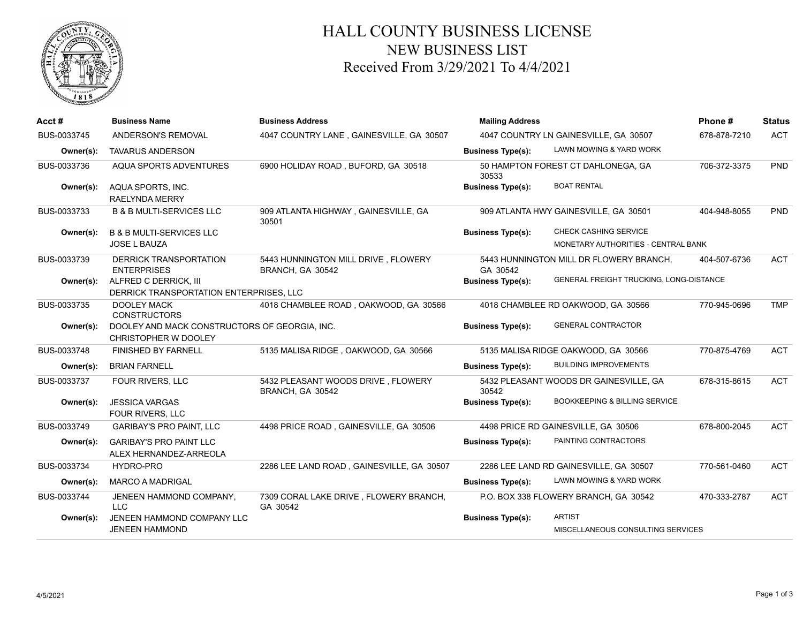

## HALL COUNTY BUSINESS LICENSE NEW BUSINESS LIST Received From 3/29/2021 To 4/4/2021

| Acct#       | <b>Business Name</b>                                                  | <b>Business Address</b>                                 | <b>Mailing Address</b>   |                                                    | Phone#       | <b>Status</b> |
|-------------|-----------------------------------------------------------------------|---------------------------------------------------------|--------------------------|----------------------------------------------------|--------------|---------------|
| BUS-0033745 | ANDERSON'S REMOVAL                                                    | 4047 COUNTRY LANE, GAINESVILLE, GA 30507                |                          | 4047 COUNTRY LN GAINESVILLE, GA 30507              | 678-878-7210 | <b>ACT</b>    |
| Owner(s):   | <b>TAVARUS ANDERSON</b>                                               |                                                         | <b>Business Type(s):</b> | LAWN MOWING & YARD WORK                            |              |               |
| BUS-0033736 | AQUA SPORTS ADVENTURES                                                | 6900 HOLIDAY ROAD, BUFORD, GA 30518                     | 30533                    | 50 HAMPTON FOREST CT DAHLONEGA, GA                 | 706-372-3375 | <b>PND</b>    |
| Owner(s):   | AQUA SPORTS, INC.<br><b>RAELYNDA MERRY</b>                            |                                                         | <b>Business Type(s):</b> | <b>BOAT RENTAL</b>                                 |              |               |
| BUS-0033733 | <b>B &amp; B MULTI-SERVICES LLC</b>                                   | 909 ATLANTA HIGHWAY, GAINESVILLE, GA<br>30501           |                          | 909 ATLANTA HWY GAINESVILLE, GA 30501              | 404-948-8055 | <b>PND</b>    |
| Owner(s):   | <b>B &amp; B MULTI-SERVICES LLC</b>                                   |                                                         | <b>Business Type(s):</b> | CHECK CASHING SERVICE                              |              |               |
|             | <b>JOSE L BAUZA</b>                                                   |                                                         |                          | MONETARY AUTHORITIES - CENTRAL BANK                |              |               |
| BUS-0033739 | DERRICK TRANSPORTATION<br><b>ENTERPRISES</b>                          | 5443 HUNNINGTON MILL DRIVE, FLOWERY<br>BRANCH, GA 30542 | GA 30542                 | 5443 HUNNINGTON MILL DR FLOWERY BRANCH,            | 404-507-6736 | <b>ACT</b>    |
| Owner(s):   | ALFRED C DERRICK, III<br>DERRICK TRANSPORTATION ENTERPRISES. LLC      |                                                         | <b>Business Type(s):</b> | GENERAL FREIGHT TRUCKING, LONG-DISTANCE            |              |               |
| BUS-0033735 | <b>DOOLEY MACK</b><br><b>CONSTRUCTORS</b>                             | 4018 CHAMBLEE ROAD, OAKWOOD, GA 30566                   |                          | 4018 CHAMBLEE RD OAKWOOD, GA 30566                 | 770-945-0696 | <b>TMP</b>    |
| Owner(s):   | DOOLEY AND MACK CONSTRUCTORS OF GEORGIA, INC.<br>CHRISTOPHER W DOOLEY |                                                         | <b>Business Type(s):</b> | <b>GENERAL CONTRACTOR</b>                          |              |               |
| BUS-0033748 | <b>FINISHED BY FARNELL</b>                                            | 5135 MALISA RIDGE, OAKWOOD, GA 30566                    |                          | 5135 MALISA RIDGE OAKWOOD, GA 30566                | 770-875-4769 | <b>ACT</b>    |
| Owner(s):   | <b>BRIAN FARNELL</b>                                                  |                                                         | <b>Business Type(s):</b> | <b>BUILDING IMPROVEMENTS</b>                       |              |               |
| BUS-0033737 | FOUR RIVERS, LLC                                                      | 5432 PLEASANT WOODS DRIVE, FLOWERY<br>BRANCH, GA 30542  | 30542                    | 5432 PLEASANT WOODS DR GAINESVILLE, GA             | 678-315-8615 | <b>ACT</b>    |
| Owner(s):   | <b>JESSICA VARGAS</b><br><b>FOUR RIVERS, LLC</b>                      |                                                         | <b>Business Type(s):</b> | <b>BOOKKEEPING &amp; BILLING SERVICE</b>           |              |               |
| BUS-0033749 | <b>GARIBAY'S PRO PAINT, LLC</b>                                       | 4498 PRICE ROAD, GAINESVILLE, GA 30506                  |                          | 4498 PRICE RD GAINESVILLE, GA 30506                | 678-800-2045 | <b>ACT</b>    |
| Owner(s):   | <b>GARIBAY'S PRO PAINT LLC</b><br>ALEX HERNANDEZ-ARREOLA              |                                                         | <b>Business Type(s):</b> | PAINTING CONTRACTORS                               |              |               |
| BUS-0033734 | HYDRO-PRO                                                             | 2286 LEE LAND ROAD, GAINESVILLE, GA 30507               |                          | 2286 LEE LAND RD GAINESVILLE, GA 30507             | 770-561-0460 | <b>ACT</b>    |
| Owner(s):   | <b>MARCO A MADRIGAL</b>                                               |                                                         | <b>Business Type(s):</b> | LAWN MOWING & YARD WORK                            |              |               |
| BUS-0033744 | JENEEN HAMMOND COMPANY,<br>LLC.                                       | 7309 CORAL LAKE DRIVE, FLOWERY BRANCH,<br>GA 30542      |                          | P.O. BOX 338 FLOWERY BRANCH, GA 30542              | 470-333-2787 | <b>ACT</b>    |
| Owner(s):   | JENEEN HAMMOND COMPANY LLC<br><b>JENEEN HAMMOND</b>                   |                                                         | <b>Business Type(s):</b> | <b>ARTIST</b><br>MISCELLANEOUS CONSULTING SERVICES |              |               |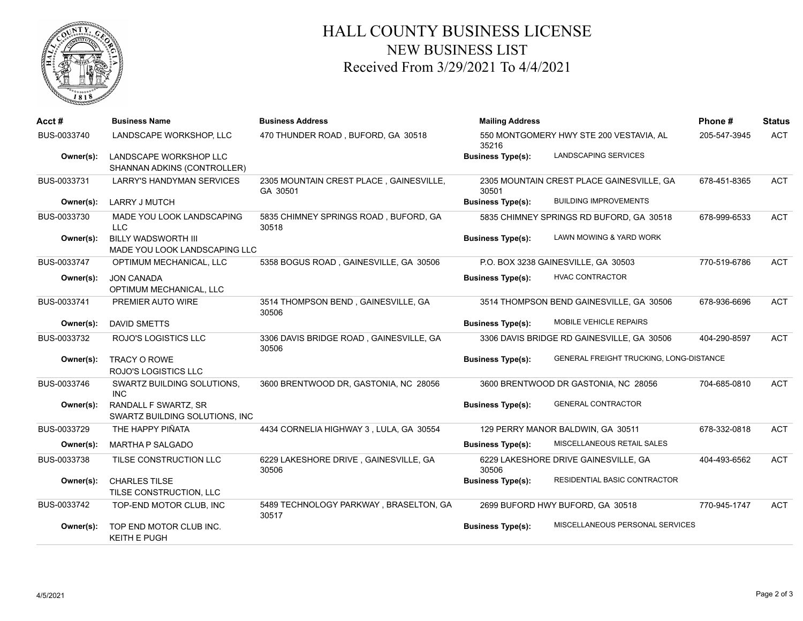

## HALL COUNTY BUSINESS LICENSE NEW BUSINESS LIST Received From 3/29/2021 To 4/4/2021

| Acct#       | <b>Business Name</b>                                        | <b>Business Address</b>                             | <b>Mailing Address</b>                           |                                            | Phone#       | <b>Status</b> |
|-------------|-------------------------------------------------------------|-----------------------------------------------------|--------------------------------------------------|--------------------------------------------|--------------|---------------|
| BUS-0033740 | LANDSCAPE WORKSHOP, LLC                                     | 470 THUNDER ROAD, BUFORD, GA 30518                  | 550 MONTGOMERY HWY STE 200 VESTAVIA, AL<br>35216 |                                            | 205-547-3945 | <b>ACT</b>    |
| Owner(s):   | LANDSCAPE WORKSHOP LLC<br>SHANNAN ADKINS (CONTROLLER)       |                                                     | <b>Business Type(s):</b>                         | LANDSCAPING SERVICES                       |              |               |
| BUS-0033731 | <b>LARRY'S HANDYMAN SERVICES</b>                            | 2305 MOUNTAIN CREST PLACE, GAINESVILLE,<br>GA 30501 | 30501                                            | 2305 MOUNTAIN CREST PLACE GAINESVILLE, GA  | 678-451-8365 | <b>ACT</b>    |
| Owner(s):   | <b>LARRY J MUTCH</b>                                        |                                                     | <b>Business Type(s):</b>                         | <b>BUILDING IMPROVEMENTS</b>               |              |               |
| BUS-0033730 | MADE YOU LOOK LANDSCAPING<br>LLC                            | 5835 CHIMNEY SPRINGS ROAD, BUFORD, GA<br>30518      |                                                  | 5835 CHIMNEY SPRINGS RD BUFORD, GA 30518   | 678-999-6533 | <b>ACT</b>    |
| Owner(s):   | <b>BILLY WADSWORTH III</b><br>MADE YOU LOOK LANDSCAPING LLC |                                                     | <b>Business Type(s):</b>                         | LAWN MOWING & YARD WORK                    |              |               |
| BUS-0033747 | OPTIMUM MECHANICAL, LLC                                     | 5358 BOGUS ROAD, GAINESVILLE, GA 30506              |                                                  | P.O. BOX 3238 GAINESVILLE, GA 30503        | 770-519-6786 | <b>ACT</b>    |
| Owner(s):   | <b>JON CANADA</b><br>OPTIMUM MECHANICAL, LLC                |                                                     | <b>Business Type(s):</b>                         | <b>HVAC CONTRACTOR</b>                     |              |               |
| BUS-0033741 | PREMIER AUTO WIRE                                           | 3514 THOMPSON BEND, GAINESVILLE, GA<br>30506        |                                                  | 3514 THOMPSON BEND GAINESVILLE, GA 30506   | 678-936-6696 | <b>ACT</b>    |
| Owner(s):   | <b>DAVID SMETTS</b>                                         |                                                     | <b>Business Type(s):</b>                         | MOBILE VEHICLE REPAIRS                     |              |               |
| BUS-0033732 | ROJO'S LOGISTICS LLC                                        | 3306 DAVIS BRIDGE ROAD, GAINESVILLE, GA<br>30506    |                                                  | 3306 DAVIS BRIDGE RD GAINESVILLE, GA 30506 | 404-290-8597 | <b>ACT</b>    |
| Owner(s):   | TRACY O ROWE<br><b>ROJO'S LOGISTICS LLC</b>                 |                                                     | <b>Business Type(s):</b>                         | GENERAL FREIGHT TRUCKING, LONG-DISTANCE    |              |               |
| BUS-0033746 | SWARTZ BUILDING SOLUTIONS,<br><b>INC</b>                    | 3600 BRENTWOOD DR, GASTONIA, NC 28056               | 3600 BRENTWOOD DR GASTONIA, NC 28056             |                                            | 704-685-0810 | <b>ACT</b>    |
| Owner(s):   | RANDALL F SWARTZ, SR<br>SWARTZ BUILDING SOLUTIONS, INC      |                                                     | <b>Business Type(s):</b>                         | <b>GENERAL CONTRACTOR</b>                  |              |               |
| BUS-0033729 | THE HAPPY PIÑATA                                            | 4434 CORNELIA HIGHWAY 3, LULA, GA 30554             |                                                  | 129 PERRY MANOR BALDWIN, GA 30511          | 678-332-0818 | ACT           |
| Owner(s):   | <b>MARTHA P SALGADO</b>                                     |                                                     | <b>Business Type(s):</b>                         | MISCELLANEOUS RETAIL SALES                 |              |               |
| BUS-0033738 | TILSE CONSTRUCTION LLC                                      | 6229 LAKESHORE DRIVE, GAINESVILLE, GA<br>30506      | 30506                                            | 6229 LAKESHORE DRIVE GAINESVILLE, GA       | 404-493-6562 | <b>ACT</b>    |
| Owner(s):   | <b>CHARLES TILSE</b><br>TILSE CONSTRUCTION, LLC             |                                                     | <b>Business Type(s):</b>                         | RESIDENTIAL BASIC CONTRACTOR               |              |               |
| BUS-0033742 | TOP-END MOTOR CLUB, INC                                     | 5489 TECHNOLOGY PARKWAY, BRASELTON, GA<br>30517     |                                                  | 2699 BUFORD HWY BUFORD, GA 30518           | 770-945-1747 | ACT           |
| Owner(s):   | TOP END MOTOR CLUB INC.<br><b>KEITH E PUGH</b>              |                                                     | <b>Business Type(s):</b>                         | MISCELLANEOUS PERSONAL SERVICES            |              |               |